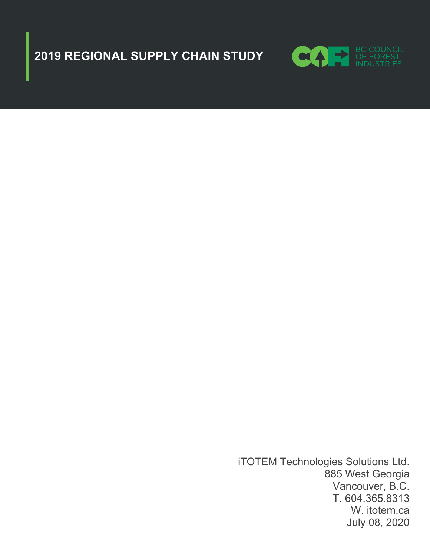



iTOTEM Technologies Solutions Ltd. 885 West Georgia Vancouver, B.C. T. 604.365.8313 W. itotem.ca July 08, 2020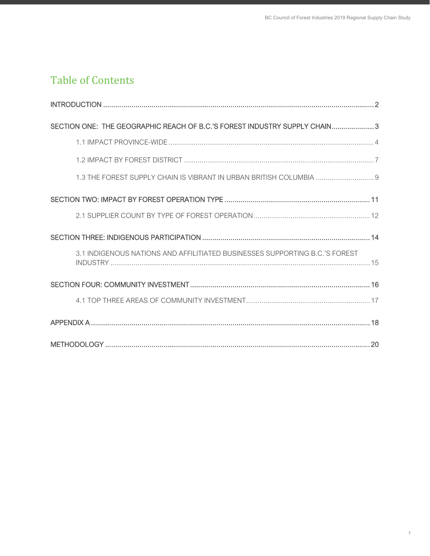# Table of Contents

| SECTION ONE: THE GEOGRAPHIC REACH OF B.C.'S FOREST INDUSTRY SUPPLY CHAIN 3  |
|-----------------------------------------------------------------------------|
|                                                                             |
|                                                                             |
| 1.3 THE FOREST SUPPLY CHAIN IS VIBRANT IN URBAN BRITISH COLUMBIA  9         |
|                                                                             |
|                                                                             |
|                                                                             |
| 3.1 INDIGENOUS NATIONS AND AFFILITIATED BUSINESSES SUPPORTING B.C.'S FOREST |
|                                                                             |
|                                                                             |
|                                                                             |
|                                                                             |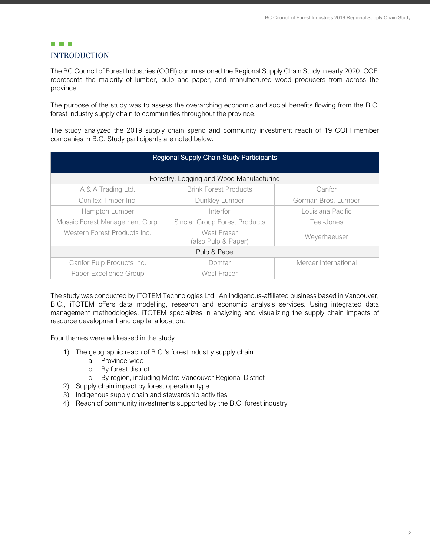# <span id="page-2-0"></span>**THE REAL** INTRODUCTION

The BC Council of Forest Industries (COFI) commissioned the Regional Supply Chain Study in early 2020. COFI represents the majority of lumber, pulp and paper, and manufactured wood producers from across the province.

The purpose of the study was to assess the overarching economic and social benefits flowing from the B.C. forest industry supply chain to communities throughout the province.

The study analyzed the 2019 supply chain spend and community investment reach of 19 COFI member companies in B.C. Study participants are noted below:

| <b>Regional Supply Chain Study Participants</b> |                                      |                      |  |
|-------------------------------------------------|--------------------------------------|----------------------|--|
| Forestry, Logging and Wood Manufacturing        |                                      |                      |  |
| A & A Trading Ltd.                              | <b>Brink Forest Products</b>         | Canfor               |  |
| Conifex Timber Inc.<br>Dunkley Lumber           |                                      | Gorman Bros. Lumber  |  |
| Hampton Lumber                                  | Interfor                             | Louisiana Pacific    |  |
| Mosaic Forest Management Corp.                  | <b>Sinclar Group Forest Products</b> | Teal-Jones           |  |
| Western Forest Products Inc.                    | West Fraser<br>(also Pulp & Paper)   | Weyerhaeuser         |  |
| Pulp & Paper                                    |                                      |                      |  |
| Canfor Pulp Products Inc.                       | Domtar                               | Mercer International |  |
| Paper Excellence Group                          | West Fraser                          |                      |  |

The study was conducted by iTOTEM Technologies Ltd. An Indigenous-affiliated business based in Vancouver, B.C., iTOTEM offers data modelling, research and economic analysis services. Using integrated data management methodologies, iTOTEM specializes in analyzing and visualizing the supply chain impacts of resource development and capital allocation.

Four themes were addressed in the study:

- 1) The geographic reach of B.C.'s forest industry supply chain
	- a. Province-wide
	- b. By forest district
	- c. By region, including Metro Vancouver Regional District
- 2) Supply chain impact by forest operation type
- 3) Indigenous supply chain and stewardship activities
- 4) Reach of community investments supported by the B.C. forest industry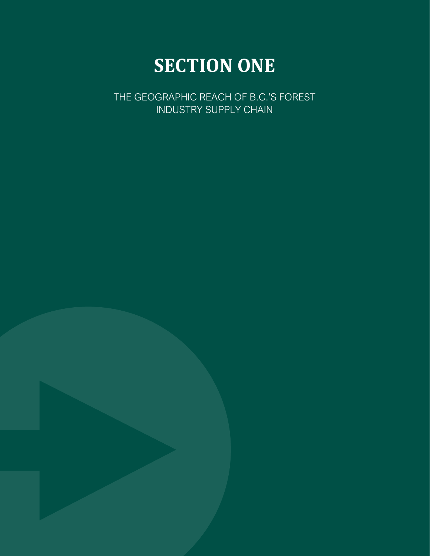# **SECTION ONE**

<span id="page-3-0"></span>THE GEOGRAPHIC REACH OF B.C.'S FOREST INDUSTRY SUPPLY CHAIN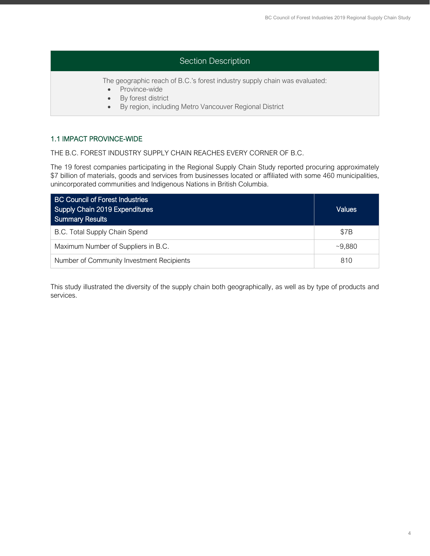# Section Description

The geographic reach of B.C.'s forest industry supply chain was evaluated:

- Province-wide
- By forest district
- By region, including Metro Vancouver Regional District

# <span id="page-4-0"></span>1.1 IMPACT PROVINCE-WIDE

THE B.C. FOREST INDUSTRY SUPPLY CHAIN REACHES EVERY CORNER OF B.C.

The 19 forest companies participating in the Regional Supply Chain Study reported procuring approximately \$7 billion of materials, goods and services from businesses located or affiliated with some 460 municipalities, unincorporated communities and Indigenous Nations in British Columbia.

| <b>BC Council of Forest Industries</b><br>Supply Chain 2019 Expenditures<br><b>Summary Results</b> | <b>Values</b> |
|----------------------------------------------------------------------------------------------------|---------------|
| B.C. Total Supply Chain Spend                                                                      | \$7B          |
| Maximum Number of Suppliers in B.C.                                                                | ~29.880       |
| Number of Community Investment Recipients                                                          | 810           |

This study illustrated the diversity of the supply chain both geographically, as well as by type of products and services.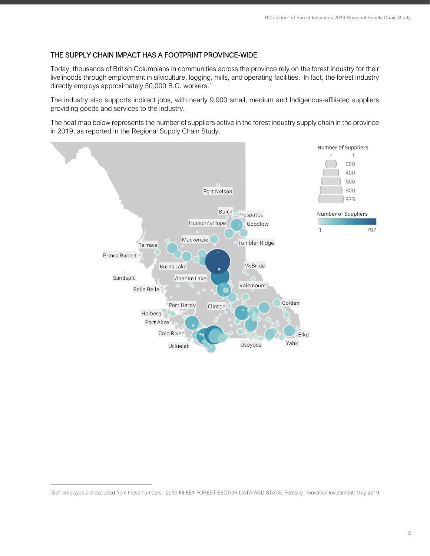# THE SUPPLY CHAIN IMPACT HAS A FOOTPRINT PROVINCE-WIDE

Today, thousands of British Columbians in communities across the province rely on the forest industry for their livelihoods through employment in silviculture, logging, mills, and operating facilities. In fact, the forest industry directly employs approximately 50,000 B.C. workers.<sup>[1](#page-5-0)</sup>

The industry also supports indirect jobs, with nearly 9,900 small, medium and Indigenous-affiliated suppliers providing goods and services to the industry.

The heat map below represents the number of suppliers active in the forest industry supply chain in the province in 2019, as reported in the Regional Supply Chain Study.



<span id="page-5-0"></span><sup>1</sup>Self-employed are excluded from these numbers. 2019 FII KEY FOREST SECTOR DATA AND STATS, Forestry Innovation Investment, May 2019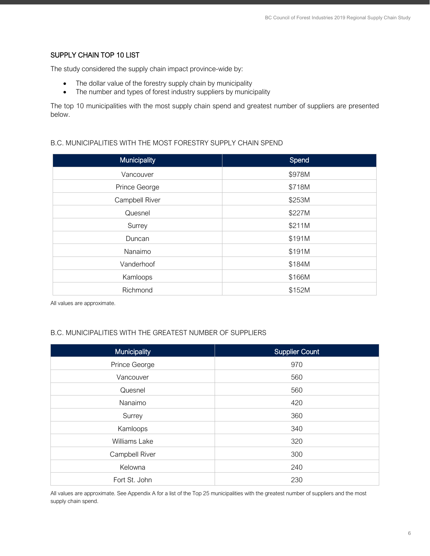# SUPPLY CHAIN TOP 10 LIST

The study considered the supply chain impact province-wide by:

- The dollar value of the forestry supply chain by municipality
- The number and types of forest industry suppliers by municipality

The top 10 municipalities with the most supply chain spend and greatest number of suppliers are presented below.

### B.C. MUNICIPALITIES WITH THE MOST FORESTRY SUPPLY CHAIN SPEND

| <b>Municipality</b> | Spend  |
|---------------------|--------|
| Vancouver           | \$978M |
| Prince George       | \$718M |
| Campbell River      | \$253M |
| Quesnel             | \$227M |
| Surrey              | \$211M |
| Duncan              | \$191M |
| Nanaimo             | \$191M |
| Vanderhoof          | \$184M |
| Kamloops            | \$166M |
| Richmond            | \$152M |

All values are approximate.

# B.C. MUNICIPALITIES WITH THE GREATEST NUMBER OF SUPPLIERS

| Municipality   | Supplier Count |
|----------------|----------------|
| Prince George  | 970            |
| Vancouver      | 560            |
| Quesnel        | 560            |
| Nanaimo        | 420            |
| Surrey         | 360            |
| Kamloops       | 340            |
| Williams Lake  | 320            |
| Campbell River | 300            |
| Kelowna        | 240            |
| Fort St. John  | 230            |

All values are approximate. See Appendix A for a list of the Top 25 municipalities with the greatest number of suppliers and the most supply chain spend.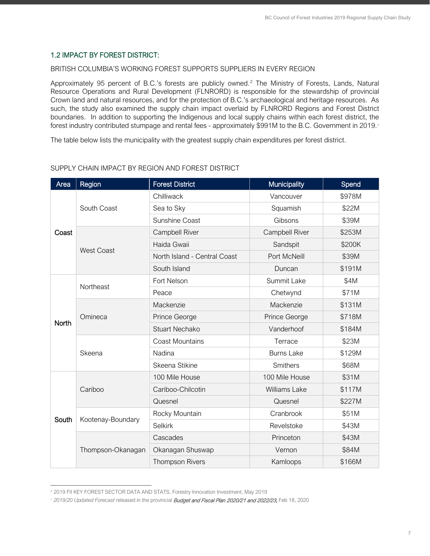# <span id="page-7-0"></span>1.2 IMPACT BY FOREST DISTRICT:

#### BRITISH COLUMBIA'S WORKING FOREST SUPPORTS SUPPLIERS IN EVERY REGION

Approximately 95 percent of B.C.'s forests are publicly owned.<sup>[2](#page-7-1)</sup> The Ministry of Forests, Lands, Natural Resource Operations and Rural Development (FLNRORD) is responsible for the stewardship of provincial Crown land and natural resources, and for the protection of B.C.'s archaeological and heritage resources. As such, the study also examined the supply chain impact overlaid by FLNRORD Regions and Forest District boundaries. In addition to supporting the Indigenous and local supply chains within each forest district, the forest industry contributed stumpage and rental fees - approximately \$991M to the B.C. Government in 2019.<sup>[3](#page-7-2)</sup>

The table below lists the municipality with the greatest supply chain expenditures per forest district.

| Area         | Region            | <b>Forest District</b>       | <b>Municipality</b> | Spend  |
|--------------|-------------------|------------------------------|---------------------|--------|
| Coast        | South Coast       | Chilliwack                   | Vancouver           | \$978M |
|              |                   | Sea to Sky                   | Squamish            | \$22M  |
|              |                   | Sunshine Coast               | Gibsons             | \$39M  |
|              |                   | Campbell River               | Campbell River      | \$253M |
|              |                   | Haida Gwaii                  | Sandspit            | \$200K |
|              | <b>West Coast</b> | North Island - Central Coast | Port McNeill        | \$39M  |
|              |                   | South Island                 | Duncan              | \$191M |
|              | Northeast         | Fort Nelson                  | Summit Lake         | \$4M   |
|              |                   | Peace                        | Chetwynd            | \$71M  |
|              |                   | Mackenzie                    | Mackenzie           | \$131M |
| <b>North</b> | Omineca           | Prince George                | Prince George       | \$718M |
|              |                   | <b>Stuart Nechako</b>        | Vanderhoof          | \$184M |
| Skeena       |                   | <b>Coast Mountains</b>       | Terrace             | \$23M  |
|              |                   | Nadina                       | <b>Burns Lake</b>   | \$129M |
|              |                   | Skeena Stikine               | Smithers            | \$68M  |
|              |                   | 100 Mile House               | 100 Mile House      | \$31M  |
|              | Cariboo           | Cariboo-Chilcotin            | Williams Lake       | \$117M |
|              |                   | Quesnel                      | Quesnel             | \$227M |
|              | Kootenay-Boundary | Rocky Mountain               | Cranbrook           | \$51M  |
| South        |                   | <b>Selkirk</b>               | Revelstoke          | \$43M  |
|              | Thompson-Okanagan | Cascades                     | Princeton           | \$43M  |
|              |                   | Okanagan Shuswap             | Vernon              | \$84M  |
|              |                   | <b>Thompson Rivers</b>       | Kamloops            | \$166M |

# SUPPLY CHAIN IMPACT BY REGION AND FOREST DISTRICT

<span id="page-7-2"></span><span id="page-7-1"></span><sup>2</sup> 2019 FII KEY FOREST SECTOR DATA AND STATS, Forestry Innovation Investment, May 2019

<sup>&</sup>lt;sup>3</sup> 2019/20 Updated Forecast released in the provincial **Budget and Fiscal Plan 2020/21 and 2022/23,** Feb 18, 2020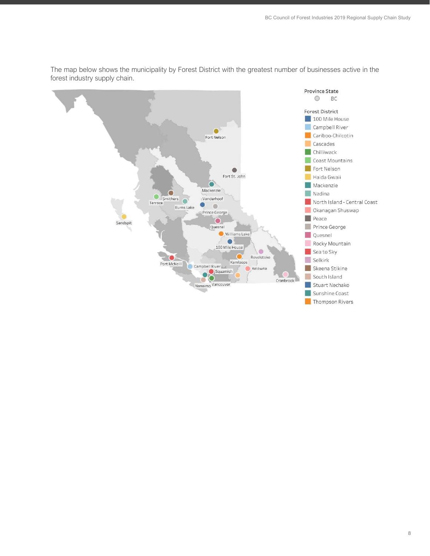

The map below shows the municipality by Forest District with the greatest number of businesses active in the forest industry supply chain.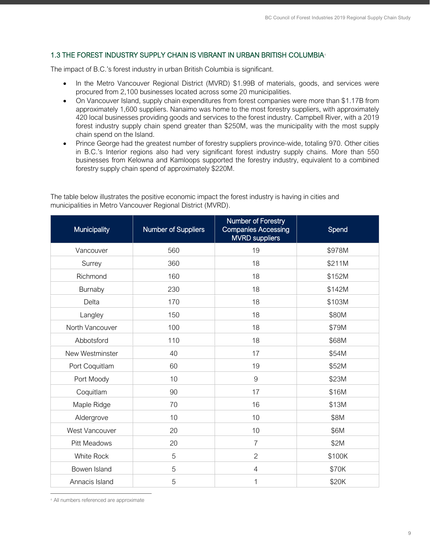# <span id="page-9-0"></span>1.3 THE FOREST INDUSTRY SUPPLY CHAIN IS VIBRANT IN URBAN BRITISH COLUMBIA[4](#page-9-1)

The impact of B.C.'s forest industry in urban British Columbia is significant.

- In the Metro Vancouver Regional District (MVRD) \$1.99B of materials, goods, and services were procured from 2,100 businesses located across some 20 municipalities.
- On Vancouver Island, supply chain expenditures from forest companies were more than \$1.17B from approximately 1,600 suppliers. Nanaimo was home to the most forestry suppliers, with approximately 420 local businesses providing goods and services to the forest industry. Campbell River, with a 2019 forest industry supply chain spend greater than \$250M, was the municipality with the most supply chain spend on the Island.
- Prince George had the greatest number of forestry suppliers province-wide, totaling 970. Other cities in B.C.'s Interior regions also had very significant forest industry supply chains. More than 550 businesses from Kelowna and Kamloops supported the forestry industry, equivalent to a combined forestry supply chain spend of approximately \$220M.

The table below illustrates the positive economic impact the forest industry is having in cities and municipalities in Metro Vancouver Regional District (MVRD).

| Municipality        | <b>Number of Suppliers</b> | Number of Forestry<br><b>Companies Accessing</b><br><b>MVRD</b> suppliers | Spend  |
|---------------------|----------------------------|---------------------------------------------------------------------------|--------|
| Vancouver           | 560                        | 19                                                                        | \$978M |
| Surrey              | 360                        | 18                                                                        | \$211M |
| Richmond            | 160                        | 18                                                                        | \$152M |
| Burnaby             | 230                        | 18                                                                        | \$142M |
| Delta               | 170                        | 18                                                                        | \$103M |
| Langley             | 150                        | 18                                                                        | \$80M  |
| North Vancouver     | 100                        | 18                                                                        | \$79M  |
| Abbotsford          | 110                        | 18                                                                        | \$68M  |
| New Westminster     | 40                         | 17                                                                        | \$54M  |
| Port Coquitlam      | 60                         | 19                                                                        | \$52M  |
| Port Moody          | 10                         | $\overline{9}$                                                            | \$23M  |
| Coquitlam           | 90                         | 17                                                                        | \$16M  |
| Maple Ridge         | 70                         | 16                                                                        | \$13M  |
| Aldergrove          | 10                         | 10                                                                        | \$8M   |
| West Vancouver      | 20                         | 10                                                                        | \$6M   |
| <b>Pitt Meadows</b> | 20                         | $\overline{7}$                                                            | \$2M   |
| <b>White Rock</b>   | 5                          | $\overline{2}$                                                            | \$100K |
| Bowen Island        | 5                          | $\overline{4}$                                                            | \$70K  |
| Annacis Island      | 5                          | 1                                                                         | \$20K  |

<span id="page-9-1"></span><sup>4</sup> All numbers referenced are approximate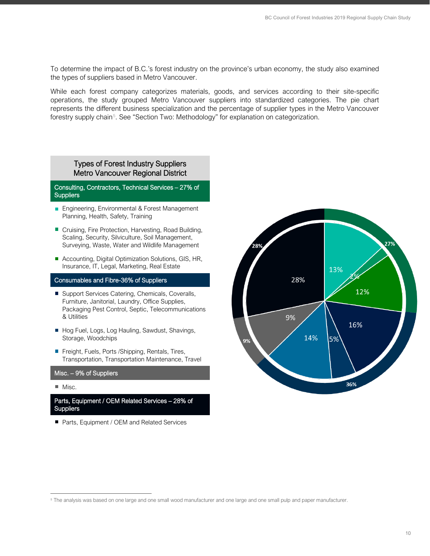To determine the impact of B.C.'s forest industry on the province's urban economy, the study also examined the types of suppliers based in Metro Vancouver.

While each forest company categorizes materials, goods, and services according to their site-specific operations, the study grouped Metro Vancouver suppliers into standardized categories. The pie chart represents the different business specialization and the percentage of supplier types in the Metro Vancouver forestry supply chain<sup>[5](#page-10-0)</sup>. See "Section Two: Methodology" for explanation on categorization.

## Types of Forest Industry Suppliers Metro Vancouver Regional District

#### Consulting, Contractors, Technical Services – 27% of **Suppliers**

- **Engineering, Environmental & Forest Management** Planning, Health, Safety, Training
- Cruising, Fire Protection, Harvesting, Road Building, Scaling, Security, Silviculture, Soil Management, Surveying, Waste, Water and Wildlife Management
- Accounting, Digital Optimization Solutions, GIS, HR, Insurance, IT, Legal, Marketing, Real Estate

# Consumables and Fibre-36% of Suppliers

- Support Services Catering, Chemicals, Coveralls, Furniture, Janitorial, Laundry, Office Supplies, Packaging Pest Control, Septic, Telecommunications & Utilities
- Hog Fuel, Logs, Log Hauling, Sawdust, Shavings, Storage, Woodchips
- Freight, Fuels, Ports /Shipping, Rentals, Tires, Transportation, Transportation Maintenance, Travel

#### Misc. – 9% of Suppliers

 $\blacksquare$  Misc.

Parts, Equipment / OEM Related Services – 28% of **Suppliers** 

■ Parts, Equipment / OEM and Related Services



<span id="page-10-0"></span><sup>5</sup> The analysis was based on one large and one small wood manufacturer and one large and one small pulp and paper manufacturer.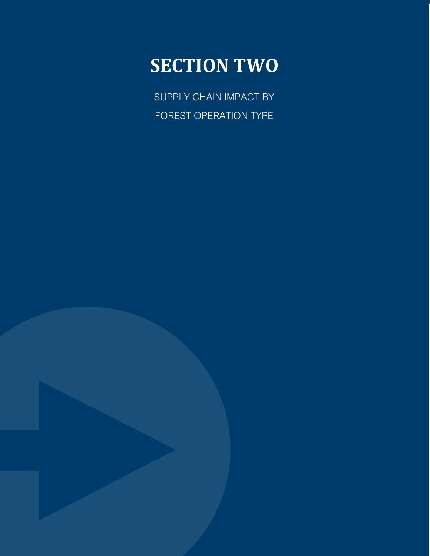# **SECTION TWO**

<span id="page-11-0"></span>SUPPLY CHAIN IMPACT BY FOREST OPERATION TYPE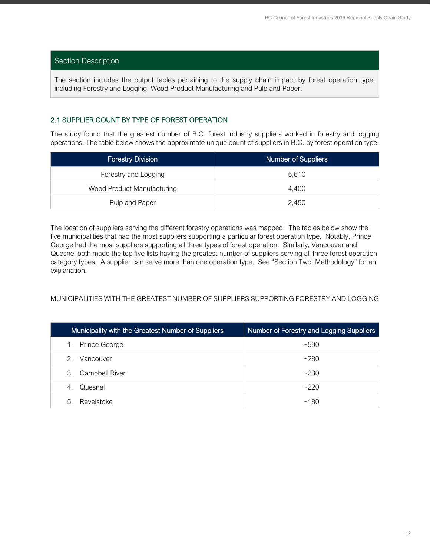# Section Description

The section includes the output tables pertaining to the supply chain impact by forest operation type, including Forestry and Logging, Wood Product Manufacturing and Pulp and Paper.

# <span id="page-12-0"></span>2.1 SUPPLIER COUNT BY TYPE OF FOREST OPERATION

The study found that the greatest number of B.C. forest industry suppliers worked in forestry and logging operations. The table below shows the approximate unique count of suppliers in B.C. by forest operation type.

| <b>Forestry Division</b>   | <b>Number of Suppliers</b> |
|----------------------------|----------------------------|
| Forestry and Logging       | 5.610                      |
| Wood Product Manufacturing | 4,400                      |
| Pulp and Paper             | 2,450                      |

The location of suppliers serving the different forestry operations was mapped. The tables below show the five municipalities that had the most suppliers supporting a particular forest operation type. Notably, Prince George had the most suppliers supporting all three types of forest operation. Similarly, Vancouver and Quesnel both made the top five lists having the greatest number of suppliers serving all three forest operation category types. A supplier can serve more than one operation type. See "Section Two: Methodology" for an explanation.

### MUNICIPALITIES WITH THE GREATEST NUMBER OF SUPPLIERS SUPPORTING FORESTRY AND LOGGING

| Municipality with the Greatest Number of Suppliers | Number of Forestry and Logging Suppliers |
|----------------------------------------------------|------------------------------------------|
| Prince George<br>1.                                | ~100                                     |
| 2<br>Vancouver                                     | ~280                                     |
| 3. Campbell River                                  | ~230                                     |
| Quesnel<br>4.                                      | ~2220                                    |
| Revelstoke<br>5.                                   | ~180                                     |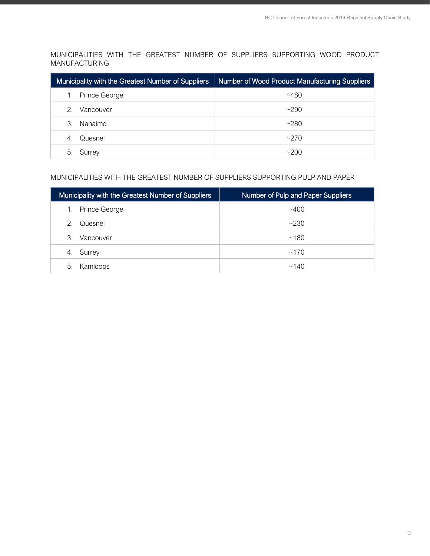MUNICIPALITIES WITH THE GREATEST NUMBER OF SUPPLIERS SUPPORTING WOOD PRODUCT MANUFACTURING

| Municipality with the Greatest Number of Suppliers | Number of Wood Product Manufacturing Suppliers |
|----------------------------------------------------|------------------------------------------------|
| Prince George                                      | $~10-480$                                      |
| Vancouver<br>2.                                    | ~290                                           |
| Nanaimo<br>3.                                      | ~280                                           |
| Quesnel<br>4.                                      | ~270                                           |
| Surrey<br>5.                                       | ~200                                           |

# MUNICIPALITIES WITH THE GREATEST NUMBER OF SUPPLIERS SUPPORTING PULP AND PAPER

| Municipality with the Greatest Number of Suppliers | Number of Pulp and Paper Suppliers |
|----------------------------------------------------|------------------------------------|
| Prince George<br>1.                                | ~100                               |
| 2.<br>Quesnel                                      | ~230                               |
| 3.<br>Vancouver                                    | ~180                               |
| Surrey<br>4.                                       | ~170                               |
| Kamloops<br>5.                                     | ~140                               |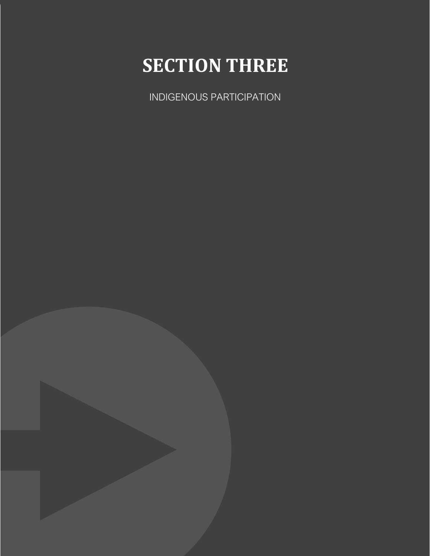# **SECTION THREE**

<span id="page-14-0"></span>INDIGENOUS PARTICIPATION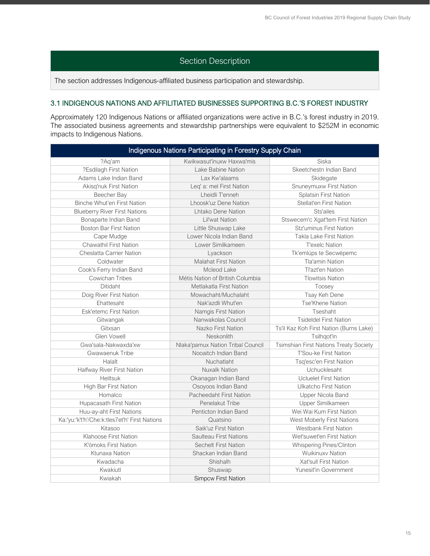# Section Description

The section addresses Indigenous-affiliated business participation and stewardship.

# <span id="page-15-0"></span>3.1 INDIGENOUS NATIONS AND AFFILITIATED BUSINESSES SUPPORTING B.C.'S FOREST INDUSTRY

Approximately 120 Indigenous Nations or affiliated organizations were active in B.C.'s forest industry in 2019. The associated business agreements and stewardship partnerships were equivalent to \$252M in economic impacts to Indigenous Nations.

| Indigenous Nations Participating in Forestry Supply Chain |                                   |                                               |  |
|-----------------------------------------------------------|-----------------------------------|-----------------------------------------------|--|
| ?Aq'am                                                    | Kwikwasut'inuxw Haxwa'mis         | Siska                                         |  |
| ?Esdilagh First Nation                                    | Lake Babine Nation                | Skeetchestn Indian Band                       |  |
| Adams Lake Indian Band                                    | Lax Kw'alaams                     | Skidegate                                     |  |
| Akisq'nuk First Nation                                    | Leq' a: mel First Nation          | Snuneymuxw First Nation                       |  |
| Beecher Bay                                               | Lheidli T'enneh                   | <b>Splatsin First Nation</b>                  |  |
| Binche Whut'en First Nation                               | Lhoosk'uz Dene Nation             | Stellat'en First Nation                       |  |
| <b>Blueberry River First Nations</b>                      | Lhtako Dene Nation                | Sts'ailes                                     |  |
| Bonaparte Indian Band                                     | <b>Lil'wat Nation</b>             | Stswecem'c Xgat'tem First Nation              |  |
| <b>Boston Bar First Nation</b>                            | Little Shuswap Lake               | <b>Stz'uminus First Nation</b>                |  |
| Cape Mudge                                                | Lower Nicola Indian Band          | <b>Takla Lake First Nation</b>                |  |
| <b>Chawathil First Nation</b>                             | Lower Similkameen                 | <b>T'exelc Nation</b>                         |  |
| <b>Cheslatta Carrier Nation</b>                           | Lyackson                          | Tk'emlúps te Secwépemc                        |  |
| Coldwater                                                 | <b>Malahat First Nation</b>       | <b>Tla'amin Nation</b>                        |  |
| Cook's Ferry Indian Band                                  | Mcleod Lake                       | Tl'azt'en Nation                              |  |
| <b>Cowichan Tribes</b>                                    | Métis Nation of British Columbia  | <b>Tlowitsis Nation</b>                       |  |
| <b>Ditidaht</b>                                           | Metlakatla First Nation           | Toosey                                        |  |
| Doig River First Nation                                   | Mowachaht/Muchalaht               | Tsay Keh Dene                                 |  |
| Ehattesaht                                                | Nak'azdli Whut'en                 | Tse'Khene Nation                              |  |
| <b>Esk'etemc First Nation</b>                             | Namgis First Nation               | Tseshaht                                      |  |
| Gitwangak                                                 | Nanwakolas Council                | <b>Tsideldel First Nation</b>                 |  |
| Gitxsan                                                   | Nazko First Nation                | Ts'il Kaz Koh First Nation (Burns Lake)       |  |
| Glen Vowell                                               | Neskonlith                        | Tsilhqot'in                                   |  |
| Gwa'sala-Nakwaxda'xw                                      | Nlaka'pamux Nation Tribal Council | <b>Tsimshian First Nations Treaty Society</b> |  |
| Gwawaenuk Tribe                                           | Nooaitch Indian Band              | T'Sou-ke First Nation                         |  |
| Halalt                                                    | Nuchatlaht                        | Tsq'esc'en First Nation                       |  |
| Halfway River First Nation                                | <b>Nuxalk Nation</b>              | Uchucklesaht                                  |  |
| Heiltsuk                                                  | Okanagan Indian Band              | <b>Ucluelet First Nation</b>                  |  |
| High Bar First Nation                                     | Osoyoos Indian Band               | Ulkatcho First Nation                         |  |
| Homalco                                                   | Pacheedaht First Nation           | Upper Nicola Band                             |  |
| Hupacasath First Nation                                   | Penelakut Tribe                   | Upper Similkameen                             |  |
| Huu-ay-aht First Nations                                  | Penticton Indian Band             | Wei Wai Kum First Nation                      |  |
| Ka:'yu:'k't'h'/Che:k:tles7et'h' First Nations             | Quatsino                          | West Moberly First Nations                    |  |
| Kitasoo                                                   | Saik'uz First Nation              | <b>Westbank First Nation</b>                  |  |
| Klahoose First Nation                                     | Saulteau First Nations            | Wet'suwet'en First Nation                     |  |
| K'ómoks First Nation                                      | <b>Sechelt First Nation</b>       | Whispering Pines/Clinton                      |  |
| Ktunaxa Nation                                            | Shackan Indian Band               | Wuikinuxv Nation                              |  |
| Kwadacha                                                  | Shishalh                          | Xat'sull First Nation                         |  |
| Kwakiutl                                                  | Shuswap                           | Yunesit'in Government                         |  |
| Kwiakah                                                   | <b>Simpcw First Nation</b>        |                                               |  |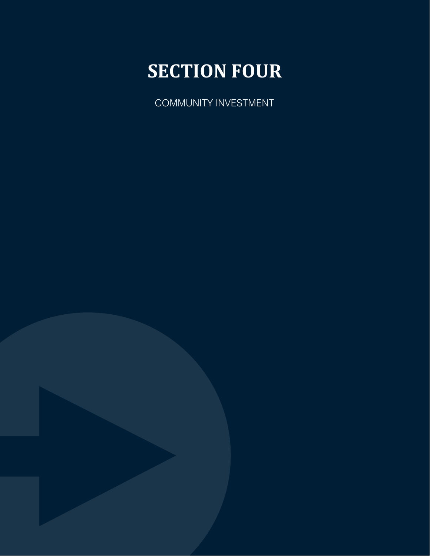# **SECTION FOUR**

<span id="page-16-0"></span>COMMUNITY INVESTMENT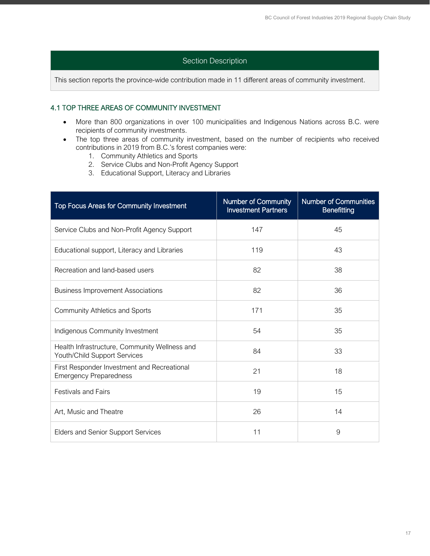# Section Description

This section reports the province-wide contribution made in 11 different areas of community investment.

# <span id="page-17-0"></span>4.1 TOP THREE AREAS OF COMMUNITY INVESTMENT

- More than 800 organizations in over 100 municipalities and Indigenous Nations across B.C. were recipients of community investments.
- The top three areas of community investment, based on the number of recipients who received contributions in 2019 from B.C.'s forest companies were:
	- 1. Community Athletics and Sports
	- 2. Service Clubs and Non-Profit Agency Support
	- 3. Educational Support, Literacy and Libraries

| Top Focus Areas for Community Investment                                      | <b>Number of Community</b><br><b>Investment Partners</b> | <b>Number of Communities</b><br>Benefitting |
|-------------------------------------------------------------------------------|----------------------------------------------------------|---------------------------------------------|
| Service Clubs and Non-Profit Agency Support                                   | 147                                                      | 45                                          |
| Educational support, Literacy and Libraries                                   | 119                                                      | 43                                          |
| Recreation and land-based users                                               | 82                                                       | 38                                          |
| <b>Business Improvement Associations</b>                                      | 82                                                       | 36                                          |
| <b>Community Athletics and Sports</b>                                         | 171                                                      | 35                                          |
| Indigenous Community Investment                                               | 54                                                       | 35                                          |
| Health Infrastructure, Community Wellness and<br>Youth/Child Support Services | 84                                                       | 33                                          |
| First Responder Investment and Recreational<br><b>Emergency Preparedness</b>  | 21                                                       | 18                                          |
| <b>Festivals and Fairs</b>                                                    | 19                                                       | 15                                          |
| Art, Music and Theatre                                                        | 26                                                       | 14                                          |
| <b>Elders and Senior Support Services</b>                                     | 11                                                       | 9                                           |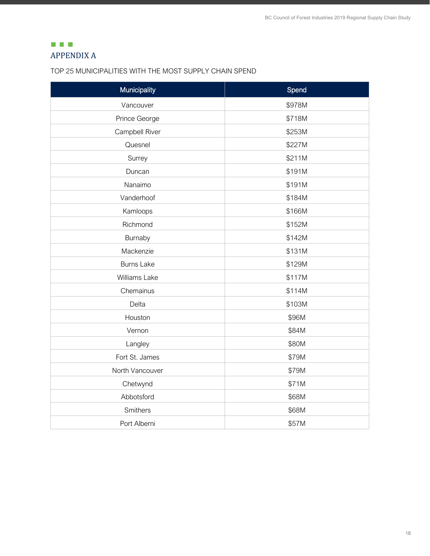# <span id="page-18-0"></span> $\Box$   $\Box$   $\Box$ APPENDIX A

# TOP 25 MUNICIPALITIES WITH THE MOST SUPPLY CHAIN SPEND

| Municipality      | Spend  |
|-------------------|--------|
| Vancouver         | \$978M |
| Prince George     | \$718M |
| Campbell River    | \$253M |
| Quesnel           | \$227M |
| Surrey            | \$211M |
| Duncan            | \$191M |
| Nanaimo           | \$191M |
| Vanderhoof        | \$184M |
| Kamloops          | \$166M |
| Richmond          | \$152M |
| Burnaby           | \$142M |
| Mackenzie         | \$131M |
| <b>Burns Lake</b> | \$129M |
| Williams Lake     | \$117M |
| Chemainus         | \$114M |
| Delta             | \$103M |
| Houston           | \$96M  |
| Vernon            | \$84M  |
| Langley           | \$80M  |
| Fort St. James    | \$79M  |
| North Vancouver   | \$79M  |
| Chetwynd          | \$71M  |
| Abbotsford        | \$68M  |
| Smithers          | \$68M  |
| Port Alberni      | \$57M  |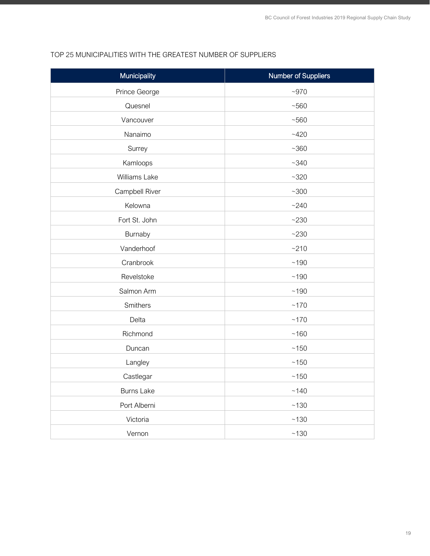# Municipality **Number of Suppliers** Prince George  $\sim$  970 Quesnel  $\sim$  560 Vancouver and the state of the state of the state  $\sim$ 560 Nanaimo  $~120$ Surrey  $\sim$ 360 Kamloops  $\sim$ 340 Williams Lake  $\sim$ 320 Campbell River **Figure 200** Kelowna  $\sim$ 240 Fort St. John  $\sim$ 230 Burnaby  $\sim$  230 Vanderhoof and the set of the set of  $\sim$ 210 Cranbrook  $\sim$  190 Revelstoke  $\sim$ 190 Salmon Arm  $\sim$ 190 Smithers  $\sim$  170 Delta ~170 Richmond  $\sim$ 160 Duncan  $\sim$  150 Langley **Example 2018** Castlegar  $\sim$ 150 Burns Lake  $\sim$ 140 Port Alberni **and Albert and Alberta and Alberta and Alberta and Alberta and Alberta and Alberta and Alberta and Alberta and Alberta and Alberta and Alberta and Alberta and Alberta and Alberta** Victoria  $\sim$ 130 Vernon ~130

# TOP 25 MUNICIPALITIES WITH THE GREATEST NUMBER OF SUPPLIERS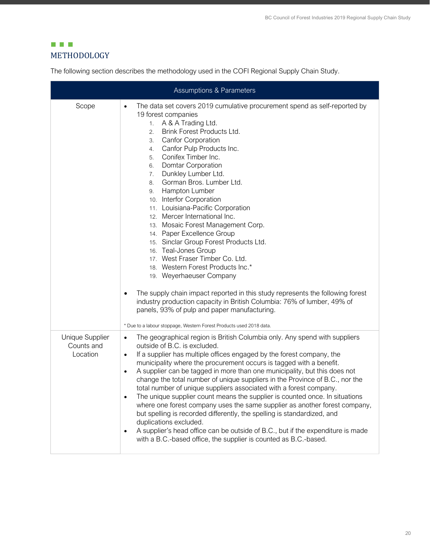# <span id="page-20-0"></span>**EL E** METHODOLOGY

The following section describes the methodology used in the COFI Regional Supply Chain Study.

| <b>Assumptions &amp; Parameters</b>       |                                                                                                                                                                                                                                                                                                                                                                                                                                                                                                                                                                                                                                                                                                                                                                                                                                                                                                                                                                                                                              |  |  |  |  |
|-------------------------------------------|------------------------------------------------------------------------------------------------------------------------------------------------------------------------------------------------------------------------------------------------------------------------------------------------------------------------------------------------------------------------------------------------------------------------------------------------------------------------------------------------------------------------------------------------------------------------------------------------------------------------------------------------------------------------------------------------------------------------------------------------------------------------------------------------------------------------------------------------------------------------------------------------------------------------------------------------------------------------------------------------------------------------------|--|--|--|--|
| Scope                                     | The data set covers 2019 cumulative procurement spend as self-reported by<br>$\bullet$<br>19 forest companies<br>A & A Trading Ltd.<br>1.<br>Brink Forest Products Ltd.<br>2.<br>Canfor Corporation<br>3.<br>Canfor Pulp Products Inc.<br>4.<br>Conifex Timber Inc.<br>5.<br>Domtar Corporation<br>6.<br>Dunkley Lumber Ltd.<br>7.<br>Gorman Bros. Lumber Ltd.<br>8.<br>Hampton Lumber<br>9.<br>10. Interfor Corporation<br>11. Louisiana-Pacific Corporation<br>12. Mercer International Inc.<br>13. Mosaic Forest Management Corp.<br>14. Paper Excellence Group<br>15. Sinclar Group Forest Products Ltd.<br>16. Teal-Jones Group<br>17. West Fraser Timber Co. Ltd.<br>18. Western Forest Products Inc.*<br>19. Weyerhaeuser Company<br>The supply chain impact reported in this study represents the following forest<br>industry production capacity in British Columbia: 76% of lumber, 49% of<br>panels, 93% of pulp and paper manufacturing.<br>* Due to a labour stoppage, Western Forest Products used 2018 data. |  |  |  |  |
| Unique Supplier<br>Counts and<br>Location | The geographical region is British Columbia only. Any spend with suppliers<br>٠<br>outside of B.C. is excluded.<br>If a supplier has multiple offices engaged by the forest company, the<br>$\bullet$<br>municipality where the procurement occurs is tagged with a benefit.<br>A supplier can be tagged in more than one municipality, but this does not<br>٠<br>change the total number of unique suppliers in the Province of B.C., nor the<br>total number of unique suppliers associated with a forest company.<br>The unique supplier count means the supplier is counted once. In situations<br>٠<br>where one forest company uses the same supplier as another forest company,<br>but spelling is recorded differently, the spelling is standardized, and<br>duplications excluded.<br>A supplier's head office can be outside of B.C., but if the expenditure is made<br>٠<br>with a B.C.-based office, the supplier is counted as B.C.-based.                                                                      |  |  |  |  |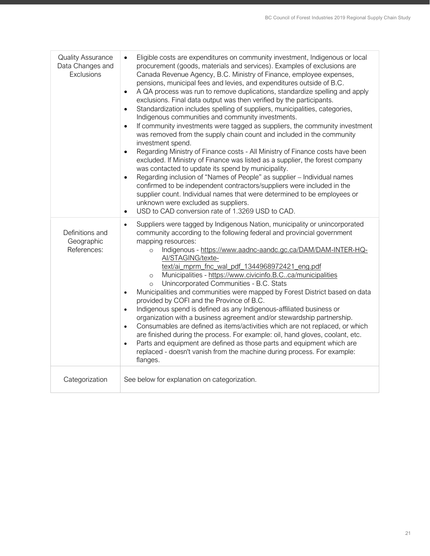| <b>Quality Assurance</b><br>Data Changes and<br>Exclusions | Eligible costs are expenditures on community investment, Indigenous or local<br>$\bullet$<br>procurement (goods, materials and services). Examples of exclusions are<br>Canada Revenue Agency, B.C. Ministry of Finance, employee expenses,<br>pensions, municipal fees and levies, and expenditures outside of B.C.<br>A QA process was run to remove duplications, standardize spelling and apply<br>$\bullet$<br>exclusions. Final data output was then verified by the participants.<br>Standardization includes spelling of suppliers, municipalities, categories,<br>$\bullet$<br>Indigenous communities and community investments.<br>If community investments were tagged as suppliers, the community investment<br>$\bullet$<br>was removed from the supply chain count and included in the community<br>investment spend.<br>Regarding Ministry of Finance costs - All Ministry of Finance costs have been<br>$\bullet$<br>excluded. If Ministry of Finance was listed as a supplier, the forest company<br>was contacted to update its spend by municipality.<br>Regarding inclusion of "Names of People" as supplier - Individual names<br>$\bullet$<br>confirmed to be independent contractors/suppliers were included in the<br>supplier count. Individual names that were determined to be employees or<br>unknown were excluded as suppliers.<br>USD to CAD conversion rate of 1.3269 USD to CAD.<br>$\bullet$ |
|------------------------------------------------------------|--------------------------------------------------------------------------------------------------------------------------------------------------------------------------------------------------------------------------------------------------------------------------------------------------------------------------------------------------------------------------------------------------------------------------------------------------------------------------------------------------------------------------------------------------------------------------------------------------------------------------------------------------------------------------------------------------------------------------------------------------------------------------------------------------------------------------------------------------------------------------------------------------------------------------------------------------------------------------------------------------------------------------------------------------------------------------------------------------------------------------------------------------------------------------------------------------------------------------------------------------------------------------------------------------------------------------------------------------------------------------------------------------------------------------------|
| Definitions and<br>Geographic<br>References:               | Suppliers were tagged by Indigenous Nation, municipality or unincorporated<br>$\bullet$<br>community according to the following federal and provincial government<br>mapping resources:<br>Indigenous - https://www.aadnc-aandc.gc.ca/DAM/DAM-INTER-HQ-<br>$\Omega$<br>Al/STAGING/texte-<br>text/ai mprm fnc wal pdf 1344968972421 eng.pdf<br>Municipalities - https://www.civicinfo.B.Cca/municipalities<br>$\circ$<br>Unincorporated Communities - B.C. Stats<br>$\circ$<br>Municipalities and communities were mapped by Forest District based on data<br>$\bullet$<br>provided by COFI and the Province of B.C.<br>Indigenous spend is defined as any Indigenous-affiliated business or<br>$\bullet$<br>organization with a business agreement and/or stewardship partnership.<br>Consumables are defined as items/activities which are not replaced, or which<br>$\bullet$<br>are finished during the process. For example: oil, hand gloves, coolant, etc.<br>Parts and equipment are defined as those parts and equipment which are<br>$\bullet$<br>replaced - doesn't vanish from the machine during process. For example:<br>flanges.                                                                                                                                                                                                                                                                                 |
| Categorization                                             | See below for explanation on categorization.                                                                                                                                                                                                                                                                                                                                                                                                                                                                                                                                                                                                                                                                                                                                                                                                                                                                                                                                                                                                                                                                                                                                                                                                                                                                                                                                                                                   |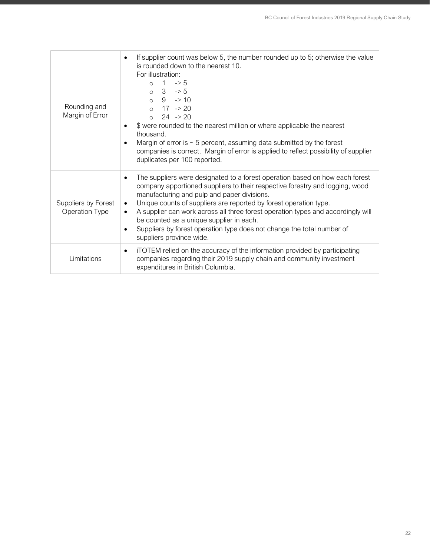| Rounding and<br>Margin of Error       | If supplier count was below 5, the number rounded up to 5; otherwise the value<br>$\bullet$<br>is rounded down to the nearest 10.<br>For illustration:<br>$\Rightarrow$ 5<br>$\overline{1}$<br>$\circ$<br>$0 \t 3 \t -5$<br>$0 \t 9 \t -210$<br>$0 \t 17 \t -20$<br>$24 \rightarrow 20$<br>$\circ$<br>\$ were rounded to the nearest million or where applicable the nearest<br>٠<br>thousand.<br>Margin of error is $\sim$ 5 percent, assuming data submitted by the forest<br>٠<br>companies is correct. Margin of error is applied to reflect possibility of supplier<br>duplicates per 100 reported. |
|---------------------------------------|----------------------------------------------------------------------------------------------------------------------------------------------------------------------------------------------------------------------------------------------------------------------------------------------------------------------------------------------------------------------------------------------------------------------------------------------------------------------------------------------------------------------------------------------------------------------------------------------------------|
| Suppliers by Forest<br>Operation Type | The suppliers were designated to a forest operation based on how each forest<br>company apportioned suppliers to their respective forestry and logging, wood<br>manufacturing and pulp and paper divisions.<br>Unique counts of suppliers are reported by forest operation type.<br>$\bullet$<br>A supplier can work across all three forest operation types and accordingly will<br>$\bullet$<br>be counted as a unique supplier in each.<br>Suppliers by forest operation type does not change the total number of<br>٠<br>suppliers province wide.                                                    |
| Limitations                           | iTOTEM relied on the accuracy of the information provided by participating<br>$\bullet$<br>companies regarding their 2019 supply chain and community investment<br>expenditures in British Columbia.                                                                                                                                                                                                                                                                                                                                                                                                     |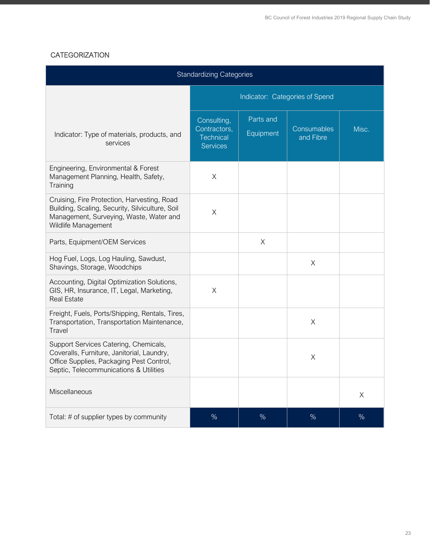# **CATEGORIZATION**

| <b>Standardizing Categories</b>                                                                                                                                           |                                                                    |                        |                          |       |  |
|---------------------------------------------------------------------------------------------------------------------------------------------------------------------------|--------------------------------------------------------------------|------------------------|--------------------------|-------|--|
|                                                                                                                                                                           | Indicator: Categories of Spend                                     |                        |                          |       |  |
| Indicator: Type of materials, products, and<br>services                                                                                                                   | Consulting,<br>Contractors,<br><b>Technical</b><br><b>Services</b> | Parts and<br>Equipment | Consumables<br>and Fibre | Misc. |  |
| Engineering, Environmental & Forest<br>Management Planning, Health, Safety,<br>Training                                                                                   | $\times$                                                           |                        |                          |       |  |
| Cruising, Fire Protection, Harvesting, Road<br>Building, Scaling, Security, Silviculture, Soil<br>Management, Surveying, Waste, Water and<br>Wildlife Management          | X                                                                  |                        |                          |       |  |
| Parts, Equipment/OEM Services                                                                                                                                             |                                                                    | X                      |                          |       |  |
| Hog Fuel, Logs, Log Hauling, Sawdust,<br>Shavings, Storage, Woodchips                                                                                                     |                                                                    |                        | X                        |       |  |
| Accounting, Digital Optimization Solutions,<br>GIS, HR, Insurance, IT, Legal, Marketing,<br><b>Real Estate</b>                                                            | X                                                                  |                        |                          |       |  |
| Freight, Fuels, Ports/Shipping, Rentals, Tires,<br>Transportation, Transportation Maintenance,<br>Travel                                                                  |                                                                    |                        | X                        |       |  |
| Support Services Catering, Chemicals,<br>Coveralls, Furniture, Janitorial, Laundry,<br>Office Supplies, Packaging Pest Control,<br>Septic, Telecommunications & Utilities |                                                                    |                        | X                        |       |  |
| Miscellaneous                                                                                                                                                             |                                                                    |                        |                          | X     |  |
| Total: # of supplier types by community                                                                                                                                   | $\frac{0}{0}$                                                      | $\frac{0}{0}$          | $\%$                     | $\%$  |  |